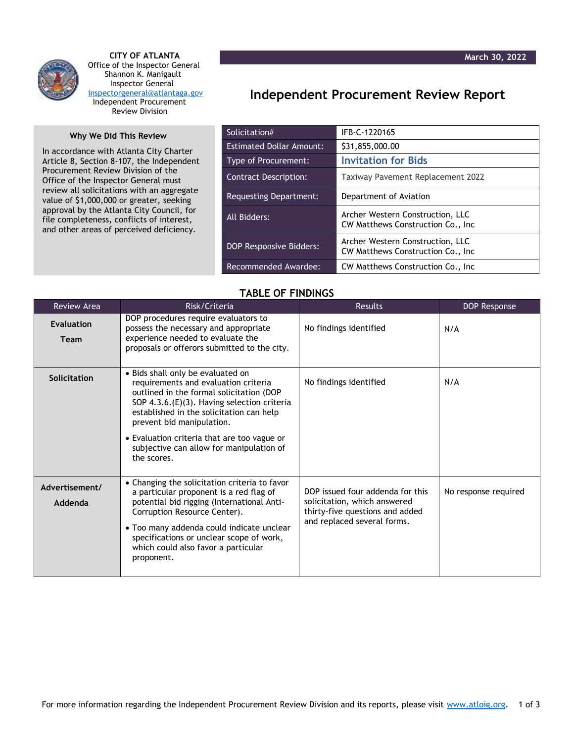



 **CITY OF ATLANTA** Office of the Inspector General Shannon K. Manigault Inspector General [inspectorgeneral@atlantaga.gov](mailto:inspectorgeneral@atlantaga.gov) Independent Procurement Review Division

## **Why We Did This Review**

In accordance with Atlanta City Charter Article 8, Section 8-107, the Independent Procurement Review Division of the Office of the Inspector General must review all solicitations with an aggregate value of \$1,000,000 or greater, seeking approval by the Atlanta City Council, for file completeness, conflicts of interest, and other areas of perceived deficiency.

## **Independent Procurement Review Report**

| Solicitation#                   | IFB-C-1220165                                                          |  |
|---------------------------------|------------------------------------------------------------------------|--|
| <b>Estimated Dollar Amount:</b> | \$31,855,000.00                                                        |  |
| <b>Type of Procurement:</b>     | <b>Invitation for Bids</b>                                             |  |
| <b>Contract Description:</b>    | Taxiway Pavement Replacement 2022                                      |  |
| Requesting Department:          | Department of Aviation                                                 |  |
| All Bidders:                    | Archer Western Construction, LLC<br>CW Matthews Construction Co., Inc. |  |
| <b>DOP Responsive Bidders:</b>  | Archer Western Construction, LLC<br>CW Matthews Construction Co., Inc. |  |
| Recommended Awardee:            | CW Matthews Construction Co., Inc.                                     |  |

## **TABLE OF FINDINGS**

| <b>Review Area</b>        | Risk/Criteria                                                                                                                                                                                                                                                                                                                                           | <b>Results</b>                                                                                                                     | DOP Response         |
|---------------------------|---------------------------------------------------------------------------------------------------------------------------------------------------------------------------------------------------------------------------------------------------------------------------------------------------------------------------------------------------------|------------------------------------------------------------------------------------------------------------------------------------|----------------------|
| Evaluation<br><b>Team</b> | DOP procedures require evaluators to<br>possess the necessary and appropriate<br>experience needed to evaluate the<br>proposals or offerors submitted to the city.                                                                                                                                                                                      | No findings identified                                                                                                             | N/A                  |
| <b>Solicitation</b>       | • Bids shall only be evaluated on<br>requirements and evaluation criteria<br>outlined in the formal solicitation (DOP<br>SOP 4.3.6.(E)(3). Having selection criteria<br>established in the solicitation can help<br>prevent bid manipulation.<br>• Evaluation criteria that are too vague or<br>subjective can allow for manipulation of<br>the scores. | No findings identified                                                                                                             | N/A                  |
| Advertisement/<br>Addenda | • Changing the solicitation criteria to favor<br>a particular proponent is a red flag of<br>potential bid rigging (International Anti-<br>Corruption Resource Center).<br>• Too many addenda could indicate unclear<br>specifications or unclear scope of work,<br>which could also favor a particular<br>proponent.                                    | DOP issued four addenda for this<br>solicitation, which answered<br>thirty-five questions and added<br>and replaced several forms. | No response required |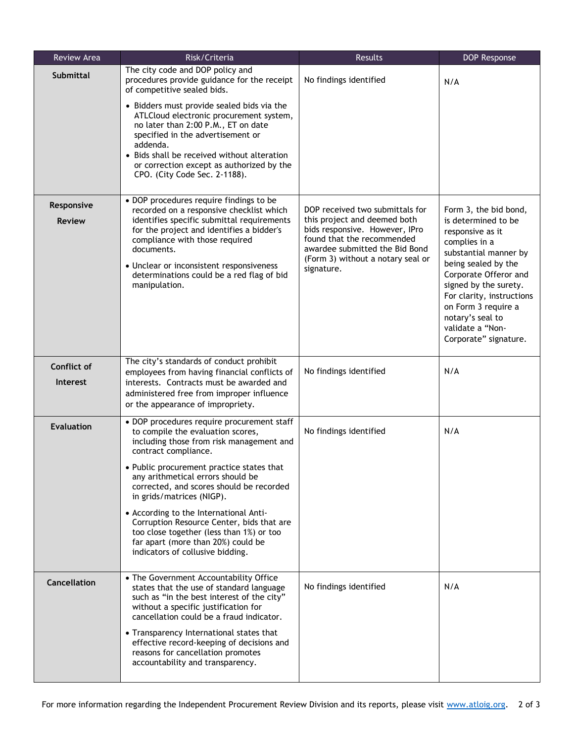| Review Area                           | Risk/Criteria                                                                                                                                                                                                                                                                                              | Results                                                                                                                                                                                                              | DOP Response                                                                                                                                                                        |
|---------------------------------------|------------------------------------------------------------------------------------------------------------------------------------------------------------------------------------------------------------------------------------------------------------------------------------------------------------|----------------------------------------------------------------------------------------------------------------------------------------------------------------------------------------------------------------------|-------------------------------------------------------------------------------------------------------------------------------------------------------------------------------------|
| <b>Submittal</b>                      | The city code and DOP policy and<br>procedures provide guidance for the receipt<br>of competitive sealed bids.                                                                                                                                                                                             | No findings identified                                                                                                                                                                                               | N/A                                                                                                                                                                                 |
|                                       | • Bidders must provide sealed bids via the<br>ATLCloud electronic procurement system,<br>no later than 2:00 P.M., ET on date<br>specified in the advertisement or<br>addenda.<br>• Bids shall be received without alteration<br>or correction except as authorized by the<br>CPO. (City Code Sec. 2-1188). |                                                                                                                                                                                                                      |                                                                                                                                                                                     |
| Responsive                            | • DOP procedures require findings to be                                                                                                                                                                                                                                                                    |                                                                                                                                                                                                                      |                                                                                                                                                                                     |
| <b>Review</b>                         | recorded on a responsive checklist which<br>identifies specific submittal requirements<br>for the project and identifies a bidder's<br>compliance with those required<br>documents.<br>• Unclear or inconsistent responsiveness<br>determinations could be a red flag of bid<br>manipulation.              | DOP received two submittals for<br>this project and deemed both<br>bids responsive. However, IPro<br>found that the recommended<br>awardee submitted the Bid Bond<br>(Form 3) without a notary seal or<br>signature. | Form 3, the bid bond,<br>is determined to be<br>responsive as it<br>complies in a<br>substantial manner by<br>being sealed by the<br>Corporate Offeror and<br>signed by the surety. |
|                                       |                                                                                                                                                                                                                                                                                                            |                                                                                                                                                                                                                      | For clarity, instructions<br>on Form 3 require a<br>notary's seal to<br>validate a "Non-<br>Corporate" signature.                                                                   |
| <b>Conflict of</b><br><b>Interest</b> | The city's standards of conduct prohibit<br>employees from having financial conflicts of<br>interests. Contracts must be awarded and<br>administered free from improper influence<br>or the appearance of impropriety.                                                                                     | No findings identified                                                                                                                                                                                               | N/A                                                                                                                                                                                 |
| Evaluation                            | • DOP procedures require procurement staff<br>to compile the evaluation scores,<br>including those from risk management and<br>contract compliance.<br>• Public procurement practice states that<br>any arithmetical errors should be                                                                      | No findings identified                                                                                                                                                                                               | N/A                                                                                                                                                                                 |
|                                       | corrected, and scores should be recorded<br>in grids/matrices (NIGP).                                                                                                                                                                                                                                      |                                                                                                                                                                                                                      |                                                                                                                                                                                     |
|                                       | • According to the International Anti-<br>Corruption Resource Center, bids that are<br>too close together (less than 1%) or too<br>far apart (more than 20%) could be<br>indicators of collusive bidding.                                                                                                  |                                                                                                                                                                                                                      |                                                                                                                                                                                     |
| Cancellation                          | • The Government Accountability Office<br>states that the use of standard language<br>such as "in the best interest of the city"<br>without a specific justification for<br>cancellation could be a fraud indicator.                                                                                       | No findings identified                                                                                                                                                                                               | N/A                                                                                                                                                                                 |
|                                       | • Transparency International states that<br>effective record-keeping of decisions and<br>reasons for cancellation promotes<br>accountability and transparency.                                                                                                                                             |                                                                                                                                                                                                                      |                                                                                                                                                                                     |